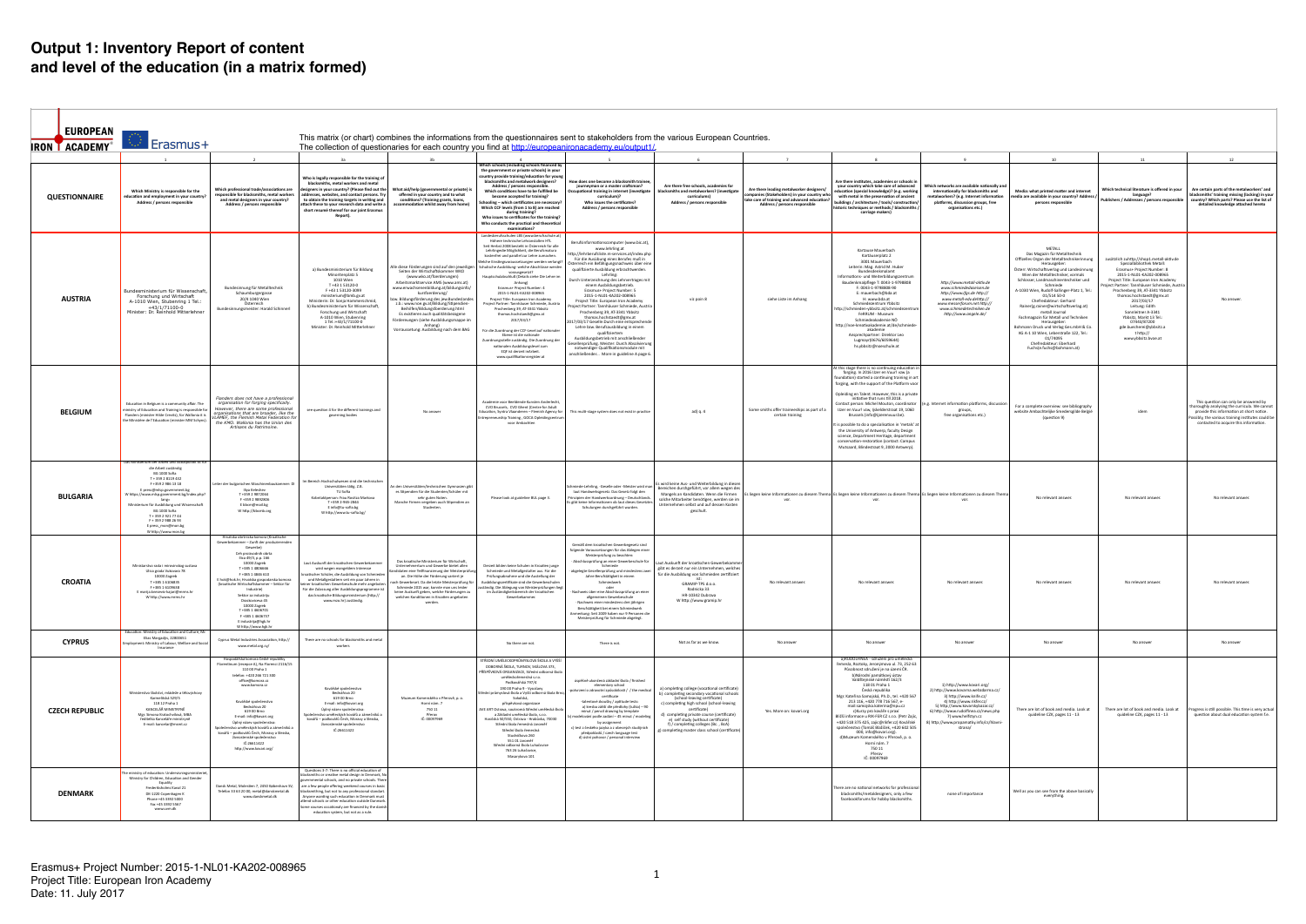| EUROPEAN<br><b>IRON LACADEMY</b> | Erasmus+                                                                                                                                                                                                                                                                                                                                                                               |                                                                                                                                                                                                                                                                                                                                                                                                                                                             |                                                                                                                                                                                                                                                                                                                                                                                                                                                                              |                                                                                                                                                                                                                                                                                                                                                                                                                                                                                            |                                                                                                                                                                                                                                                                                                                                                                                                                                                                                                                                                                                                                                                                                                                                                                                                                                                                                        | This matrix (or chart) combines the informations from the questionnaires sent to stakeholders from the various European Countries.                                                                                                                                                                                                                                                                                                                                                                                                                                                                                                                                                                                                                                                                                                                 |                                                                                                                                                                                                                                                                                                                                                                         |                                                                                                                                                                         |                                                                                                                                                                                                                                                                                                                                                                                                                                                                                                                                                                                                                                                              |                                                                                                                                                                                                                                                                                 |                                                                                                                                                                                                                                                                                                                                                                                                                                                                                                                                                                                                               |                                                                                                                                                                                                                                                                                                                                                                                                                                                    |                                                                                                                                                                                                                                   |
|----------------------------------|----------------------------------------------------------------------------------------------------------------------------------------------------------------------------------------------------------------------------------------------------------------------------------------------------------------------------------------------------------------------------------------|-------------------------------------------------------------------------------------------------------------------------------------------------------------------------------------------------------------------------------------------------------------------------------------------------------------------------------------------------------------------------------------------------------------------------------------------------------------|------------------------------------------------------------------------------------------------------------------------------------------------------------------------------------------------------------------------------------------------------------------------------------------------------------------------------------------------------------------------------------------------------------------------------------------------------------------------------|--------------------------------------------------------------------------------------------------------------------------------------------------------------------------------------------------------------------------------------------------------------------------------------------------------------------------------------------------------------------------------------------------------------------------------------------------------------------------------------------|----------------------------------------------------------------------------------------------------------------------------------------------------------------------------------------------------------------------------------------------------------------------------------------------------------------------------------------------------------------------------------------------------------------------------------------------------------------------------------------------------------------------------------------------------------------------------------------------------------------------------------------------------------------------------------------------------------------------------------------------------------------------------------------------------------------------------------------------------------------------------------------|----------------------------------------------------------------------------------------------------------------------------------------------------------------------------------------------------------------------------------------------------------------------------------------------------------------------------------------------------------------------------------------------------------------------------------------------------------------------------------------------------------------------------------------------------------------------------------------------------------------------------------------------------------------------------------------------------------------------------------------------------------------------------------------------------------------------------------------------------|-------------------------------------------------------------------------------------------------------------------------------------------------------------------------------------------------------------------------------------------------------------------------------------------------------------------------------------------------------------------------|-------------------------------------------------------------------------------------------------------------------------------------------------------------------------|--------------------------------------------------------------------------------------------------------------------------------------------------------------------------------------------------------------------------------------------------------------------------------------------------------------------------------------------------------------------------------------------------------------------------------------------------------------------------------------------------------------------------------------------------------------------------------------------------------------------------------------------------------------|---------------------------------------------------------------------------------------------------------------------------------------------------------------------------------------------------------------------------------------------------------------------------------|---------------------------------------------------------------------------------------------------------------------------------------------------------------------------------------------------------------------------------------------------------------------------------------------------------------------------------------------------------------------------------------------------------------------------------------------------------------------------------------------------------------------------------------------------------------------------------------------------------------|----------------------------------------------------------------------------------------------------------------------------------------------------------------------------------------------------------------------------------------------------------------------------------------------------------------------------------------------------------------------------------------------------------------------------------------------------|-----------------------------------------------------------------------------------------------------------------------------------------------------------------------------------------------------------------------------------|
|                                  |                                                                                                                                                                                                                                                                                                                                                                                        |                                                                                                                                                                                                                                                                                                                                                                                                                                                             |                                                                                                                                                                                                                                                                                                                                                                                                                                                                              |                                                                                                                                                                                                                                                                                                                                                                                                                                                                                            |                                                                                                                                                                                                                                                                                                                                                                                                                                                                                                                                                                                                                                                                                                                                                                                                                                                                                        | The collection of questionaries for each country you find at http://europeanironacademy.eu/output1/                                                                                                                                                                                                                                                                                                                                                                                                                                                                                                                                                                                                                                                                                                                                                |                                                                                                                                                                                                                                                                                                                                                                         |                                                                                                                                                                         |                                                                                                                                                                                                                                                                                                                                                                                                                                                                                                                                                                                                                                                              |                                                                                                                                                                                                                                                                                 |                                                                                                                                                                                                                                                                                                                                                                                                                                                                                                                                                                                                               |                                                                                                                                                                                                                                                                                                                                                                                                                                                    |                                                                                                                                                                                                                                   |
| <b>QUESTIONNAIRE</b>             | Which Ministry is responsible for the<br>ducation and employment in your country?<br>Address / persons responsible                                                                                                                                                                                                                                                                     | Which professional trade/associations are<br>responsible for blacksmiths, metal workers<br>and metal designers in your country?<br>Address / persons responsible                                                                                                                                                                                                                                                                                            | 3a<br>Who is legally responsible for the training of<br>blacksmiths, metal workers and metal<br>designers in your country? (Please find out the<br>addresses, websites, and contact persons. Try<br>to obtain the training targets in writing and<br>attach these to vour research data and write a<br>short resumé thereof for our joint Erasmus<br>Report).                                                                                                                | 3 <sub>b</sub><br>What aid/help (governmental or private) is<br>offered in your country and to what<br>conditions? (Training grants, loans,<br>commodation whilst away from home)                                                                                                                                                                                                                                                                                                          | <b>Vhich schools (including schools financed b</b><br>the government or private schools) in your<br>country provide training/education for young<br>blacksmiths and metalwork designers?<br>Address / persons responsible.<br>Which conditions have to be fulfilled be<br>become accepted for training?<br>nooling - which certificates are necessary?<br>Which CCF levels (from 1 to 8) are reached<br>during training?<br>Who issues to certificates for the training?<br>Who conducts the practical and theoretical<br>examinations?                                                                                                                                                                                                                                                                                                                                                | How does one become a blacksmith trainee<br>journeyman or a master craftsman?<br>Occupational training in internet (investigate<br>curriculum)?<br>Who issues the certificates?<br>Address / persons responsible                                                                                                                                                                                                                                                                                                                                                                                                                                                                                                                                                                                                                                   | 6<br>Are there free schools, academies for<br>blacksmiths and metalworkers? (investigate<br>curriculums)<br>Address / persons responsible                                                                                                                                                                                                                               | Are there leading metalworker designers/<br>mpanies (Stakeholders) in your country who<br>ake care of training and advanced education?<br>Address / persons responsible | Are there institutes, academies or schools in<br>your country which take care of advanced<br>education (special knowledge)? (e.g. working<br>with metal in the preservation of ancient<br>buildings / architecture / tools/ construction/<br>istoric techniques or methods / blacksmiths<br>carriage makers)                                                                                                                                                                                                                                                                                                                                                 | Which networks are available nationally and<br>internationally for blacksmiths and<br>metalworkers? (e.g. Internet information<br>platforms, discussion groups, free<br>organisations etc.)                                                                                     | 10<br>Media: what printed matter and internet<br>nedia are available in your country? Address<br>persons responsible                                                                                                                                                                                                                                                                                                                                                                                                                                                                                          | Vhich technical literature is offered in your<br>language?<br>Publishers / Addresses / persons responsible                                                                                                                                                                                                                                                                                                                                         | 12<br>Are certain parts of the metalworkers' and<br>blacksmiths' training missing (lacking) in you<br>ountry? Which parts? Please use the list of<br>detailed knowledge attached hereto                                           |
| <b>AUSTRIA</b>                   | Bundesministerium für Wissenschaft,<br>Forschung und Wirtschaft<br>A-1010 Wien, Stubenring 1 Tel.<br>$+43/1/71100-0$<br>Minister: Dr. Reinhold Mitterlehne                                                                                                                                                                                                                             | Bundesinnung für Metalltechnik<br>Schaumburgergasse<br>20/4 1040 Wien<br>Österreich<br>Bundesinnungsmeister: Harald Schinnerl                                                                                                                                                                                                                                                                                                                               | a) Bundesministerium für Bildung<br>Minoritenplatz 5<br>1010 Wien<br>T+43 1 53120-0<br>F+43153120-3099<br>ministerium@bmb.gv.at<br>Ministerin: Dr. Sonja Hammerschmid,<br>b) Bundesministerium für Wissenschaft.<br>Forschung und Wirtschaft<br>A-1010 Wien, Stubenring<br>1 Tel.:+43/1/71100-0<br>Minister: Dr. Reinhold Mitterlehner                                                                                                                                       | Alle diese Förderungen sind auf den jeweiligen<br>Seiten der Wirtschaftskammer WKO<br>(www.wko.at/foerderungen)<br>Arbeitsmarktservice AMS (www.ams.at)<br>www.erwachsenenbildung.at/bildungsinfo/<br>kursfoerderung/<br>zw. Bildungsförderung des jew.Bundeslande<br>z.b.: www.noe.gv.at/Bildung/Stipendien-<br>Beihilfen/Bildungsfoerderung.html<br>Es existieren auch qualitätsbezogene<br>Fördereungen (siehe Ausbildungsmappe im<br>Anhang)<br>Vorraussetung: Ausbildung nach dem BAG | Landesberufsschulen LBS (www.berufsschule.at)<br>Höhere technische Lehranstalten HTL<br>Seit Herbst 2008 besteht in Österreich für alle<br>Lehrlingedie Möglichkeit, die Berufsmatura<br>kostenfrei und parallel zur Lehre zumachen.<br>elche Einstiegsvoraussetzungen werden verlangt?<br>Schulische Ausbildung- welche Abschlüsse werden<br>vorausgesetzt?<br>Hauptschulabschluß (Details siehe Die Lehre in<br>Anhang)<br>Erasmus+ Project Number: 4<br>2015-1-NL01-KA202-008965<br>Project Title: European Iron Academy<br>Project Partner: Tannhäuser Schmiede, Austria<br>Prochenberg 39, AT-3341 Ybbsitz<br>thomas.hochstaedt@gmx.at<br>2017/03/17<br>Für die Zuordnung der CCF-Level auf nationaler<br>Ebene ist die national<br>uordnungsstelle zuständig. Die Zuordnung der<br>nationalen Ausbildungslevel zum<br>EQF ist derzeit inArbeit.<br>www.qualifikationsregister.at | Berufsinformationscomputer (www.bic.at),<br>www.lehrling.at<br>http://lehrberufsliste.m-services.at/index.phr<br>Für die Ausübung eines Berufes muß in<br>Österreich ein Befähigungsnachweis über eine<br>qualifizierte Ausbildung erbrachtwerden.<br>Lehrling:<br>Durch Unterzeichnung des Lehrvertrages mit<br>einem Ausbildungsbetrieb.<br>Erasmus+ Project Number: 5<br>2015-1-NL01-KA202-008965<br>Project Title: European Iron Academy<br>roiect Partner: Tannhäuser Schmiede, Austria<br>Prochenberg 39, AT-3341 Ybbsitz<br>thomas.hochstaedt@gmx.at<br>017/03/17 Geselle:Durch eine entsprechende<br>Lehre bzw. Berufsausbildung in einem<br>qualifiziertem<br>Ausbildungsbetrieb mit anschließender<br>Gesellenprüfung. Meister: Durch Absolvierung<br>notwendiger Qualifikationsmodule mit<br>anschließender More in guideline A page 6. | viz poin 8                                                                                                                                                                                                                                                                                                                                                              | siehe Liste im Anhang                                                                                                                                                   | Kartause Mauerbach<br>Kartäuserplatz 2<br>3001 Mauerbach<br>Leiterin: Mag. Astrid M. Hube<br>Bundesdenkmalamt<br>Informations- und Weiterbildungszentrun<br>Baudenkmalpflege T: 0043-1-9798808<br>F: 0043-1-9798808-90<br>E: mauerbach@bda.at<br>H: www.bda.at<br>Schmiedezentrum Ybbsitz<br>http://schmieden-ybbsitz.at/schmiedeze<br>FeRRUM - Museum<br>Schmiedeakademie NÖ<br>http://noe-kreativakademie.at/de/schmied<br>akademie<br>Ansprechpartner: Direktor Leo<br>Lugmayr(0676/6059644)<br>hs.ybbsitz@noeschule.at                                                                                                                                   | http://www.metall-aktiv.de<br>www.schmiededaseisen.de<br>http://www.ifas.de http://<br>www.metall-edv.dehttp://<br>www.messerforum.net http://<br>www.schmiedetechniken.de<br>http://www.angele.de/                                                                             | METALL<br>Das Magazin für Metalltechnik<br>Offizelles Organ der Metalltechnikerinnung<br>Herausgeber<br>Österr. Wirtschaftsverlag und Landesinnun<br>Wien der Metalltechniker, vormals<br>Schlosser, Landmaschinentechniker und<br>Schmiede<br>A-1030 Wien, Rudolf-Sallinger-Platz 1, Tel.:<br>01/514 50-0<br>Chefredakteur: Gerhard<br>Rainer(g.rainer@wirtschaftsverlag.at)<br>metall Journal<br>Fachmagazin für Metall und Techniken<br>Herausgeber<br>Bohmann Druck und Verlag Ges.mbH & Co<br>KG A-1 10 Wien. Leberstraße 122. Tel.:<br>01/74095<br>Chefredakteur: Eberhard<br>Fuchs(e.fuchs@bohmann.at) | zusätzlich zuhttp://shop1.metall-aktiv.de<br>Spezialbibliothek Metall<br>Erasmus+ Project Number: 8<br>2015-1-NL01-KA202-008965<br>Project Title: European Iron Academy<br>ect Partner: Tannhäuser Schmiede, Austria<br>Prochenberg 39, AT-3341 Ybbsitz<br>thomas.hochstaedt@gmx.at<br>2017/03/17<br>Leitung: Edith<br>Sonnleitner A-3341<br>Ybbsitz, Markt 13 Tel.:<br>07443/87200<br>gde.buecherei@ybbsitz.a<br>t http://<br>www.ybbsitz.bvoe.at |                                                                                                                                                                                                                                   |
| <b>BELGIUM</b>                   | Education in Belgium is a community affair. The<br>ninistry of Education and Training is responsible for<br>Flanders (minister Hilde Crevits), for Wallonia it is<br>he Ministère de l'Education (minister MM Schyns).                                                                                                                                                                 | Flanders does not have a professiona.<br>organisation for forging specifically.<br>However, there are some professional<br>organisations that are broader, like the<br>VLAMEF, the Flemish Metal Federation fo.<br>the KMO. Wallonia has the Union des<br>Artisans du Patrimoine.                                                                                                                                                                           | see question 4 for the different trainings and<br>governing bodies                                                                                                                                                                                                                                                                                                                                                                                                           | No answe                                                                                                                                                                                                                                                                                                                                                                                                                                                                                   | <b>Academie voor Beeldende Kunsten Anderlecht</b><br>CVO Brussels, CVO Ghent (Centre for Adult<br>Education, Syntra Vlaanderen - Flemish Agency for<br>repreneurship Training, GOCA Opleidingcentrui<br>voor Ambachter                                                                                                                                                                                                                                                                                                                                                                                                                                                                                                                                                                                                                                                                 | This multi-stage system does not exist in practice                                                                                                                                                                                                                                                                                                                                                                                                                                                                                                                                                                                                                                                                                                                                                                                                 | ad) q. 4                                                                                                                                                                                                                                                                                                                                                                | Some smiths offer traineeships as part of a<br>certain training                                                                                                         | t this stage there is no continuing education in<br>forging. In 2016 IJzer en Vuur! vzw (a<br>undation) started a continuing training in art<br>forging, with the support of the Platform voor<br>Opleiding en Talent. However, this is a private<br>initiative that runs till 2018.<br>Contact person: Michel Mouton, coordinator<br>IJzer en Vuur! vzw, Ijskelderstraat 19, 1060<br>Brussels (info@iizerenvuur.be).<br>is possible to do a specialisation in 'metals' at<br>the University of Antwerp, faculty Design<br>science, Department Heritage, department<br>conservation-restoration (contact: Campus<br>Mutsaard, Blindestraat 9, 2000 Antwerp). | e.g. Internet information platforms, discus<br>groups,<br>free organisations etc.)                                                                                                                                                                                              | For a complete overview: see bibliography<br>website Ambachtelijke Smedersgilde België<br>(question 9)                                                                                                                                                                                                                                                                                                                                                                                                                                                                                                        | idem                                                                                                                                                                                                                                                                                                                                                                                                                                               | This question can only be answered by<br>horoughly analysing the curricula. We cannot<br>provide this information at short notice.<br>ossibly, the various training institutes could be<br>contacted to acquire this information. |
| <b>BULGARIA</b>                  | Das Ministerium der Arbeit und Sozialpolitik ist f<br>die Arbeit zuständig<br>BG 1000 Sofia<br>T + 359 2 8119 432<br>F+359 2 986 13 18<br>E press@mlsp.government.bg<br>W https://www.mlsp.government.bg/index.php?<br>lang=<br>Ministerium für Ausbildung und Wissenschaf<br>BG 1000 Sofia<br>T + 359 2 921 77 44<br>F + 359 2 988 26 93<br>E press_mon@mon.bg<br>W http://www.mon.bg | eiter der bulgarischen Maschinenbaukammer: E<br>Iliya Keleshe<br>T+359 2 9872064<br>F+359 2 9892806<br>E bbcm@mail.bg<br>W http://bbcmb.org                                                                                                                                                                                                                                                                                                                 | Im Bereich Hochschulwesen sind die technische<br>Universitäten tätig. Z.B.<br>TU Sofia<br>Kobntaktperson: Frau Rositza Markova<br>T +359 2-965-2844<br>E info@tu-sofia.bg<br>W http://www.tu-sofia.bg/                                                                                                                                                                                                                                                                       | n den Universitäten/technischen Gymnasien gib<br>es Stipendien für die Studenten/Schüler mit<br>sehr guten Noten<br>Manche Firmen vergeben auch Stipendien an<br>Studenten.                                                                                                                                                                                                                                                                                                                | Please look at guideline BUL page 3.                                                                                                                                                                                                                                                                                                                                                                                                                                                                                                                                                                                                                                                                                                                                                                                                                                                   | Schmiede-Lehrling, -Geselle oder -Meister wird man<br>laut Handwerksgesetz. Das Gesetz folgt den<br>Prinzipien der Handwerksordnung - Deutschlands.<br>Es gibt keine Informationen ob laut dieses Gesetztes<br>Schulungen durchgeführt wurden.                                                                                                                                                                                                                                                                                                                                                                                                                                                                                                                                                                                                     | Es wird keine Aus- und Weiterbildung in diesen<br>Bereichen durchgeführt, vor allem wegen des<br>Mangels an Kandidaten. Wenn die Firmen<br>solche Mitarbeiter benötigen, werden sie im<br>Unternehmen selbst und auf dessen Kosten<br>geschult                                                                                                                          | vor                                                                                                                                                                     | Es liegen keine Informationen zu diesem Thema Es liegen keine Informationen zu diesem Thema Es liegen keine Informationen zu diesem Thema<br>vor.                                                                                                                                                                                                                                                                                                                                                                                                                                                                                                            |                                                                                                                                                                                                                                                                                 | No relevant answer.                                                                                                                                                                                                                                                                                                                                                                                                                                                                                                                                                                                           | No relevant answer                                                                                                                                                                                                                                                                                                                                                                                                                                 | No relevant answe                                                                                                                                                                                                                 |
| <b>CROATIA</b>                   | Ministarstvo rada i mirovinskog sustava<br>Ulica grada Vukovara 78<br>10000 Zagreb<br>T+385 1 6106835<br>F+38516109638<br>E marija.knezevic-kajari@mrms.hr<br>W http://www.mrms.hr                                                                                                                                                                                                     | Hrvatska obrtnicka komora (Kroatische<br>Gewerbekammer - Zunft der produzierenden<br>Gewerbe)<br>Ceh proizvodnih obrta<br>Ilica 49/II, p.p. 166<br>10000 Zagreb<br>T+385 14806666<br>F+385 14846 610<br>E hok@hok.hr, Hrvatska gospodarska komora<br>(kroatische Wirtschaftskammer - Sektor für<br>Industriel<br>Sektor za industriji<br>Draskoviceva 45<br>10000 Zagreb<br>T+385 1 4606701<br>F+385 14606737<br>E industrija@hgk.hr<br>W http://www.hgk.hr | Laut Auskunft der kroatischen Gewerbekamme<br>wird wegen mangeldem Interesse<br>oatischer Schüler, die Ausbildung von Schmieder<br>und Metallgestaltern seit ein paar Jahren in<br>iner kroatischen Gewerbeschule mehr angeboter<br>Für die Zulassung aller Ausbildungsprogramme ist<br>das kroatische Bildungsministerium (http://<br>www.mzo.hr) zuständig.                                                                                                                | Das kroatische Ministerium für Wirtschaft,<br>Unternehmertum und Gewerbe bietet allen<br>daten eine Teilfinanzierung der Meisterprüfung<br>an. Die Höhe der Förderung variiert je<br>ch Gewerbeart. Da die letzte Meisterprüfung fü<br>Schmiede 2015 war, konnte man uns leider<br>keine Auskunft geben, welche Förderungen zu<br>ien in Kroatien ang<br>werden.                                                                                                                           | Derzeit bilden keine Schulen in Kroatien junge<br>Schmiede und Metallgestalter aus. Für die<br>Prüfungsabnahme und die Austellung der<br>usbildungszertifikate sind die Gewerbeschuler<br>ständig. Die Ablegung von Meisterprüfungen liegt<br>im Zuständigkeitsbereich der kroatischen                                                                                                                                                                                                                                                                                                                                                                                                                                                                                                                                                                                                 | Gemäß dem kroatischen Gewerbegesetz sind<br>folgende Voraussetzungen für das Ablegen einer<br>Meisterprüfung zu beachten:<br>Abschlussprüfung an einer Gewerbeschule für<br>Schmiede<br>abgelegte Gesellenprüfung und mindestens zwe<br>Jahre Berufstätigkeit in einem<br>Schmiedwerk<br>Nachweis über eine Abschlussprüfung an einer<br>· Nachweis einer mindestens drei jährigen<br>Berufstätigkeit bei einem Schmiedwerk<br>Anmerkung: Seit 2009 haben nur 9 Personen die<br>Meisterprüfung für Schmiede abgelegt.                                                                                                                                                                                                                                                                                                                              | Laut Auskunft der kroatischen Gewerbekamme<br>gibt es derzeit nur ein Unternehmen, welches<br>für die Ausbildung von Schmieden zertifiziert<br>GRAMIP-TPS d.o.o.<br>Radnicka 33<br>HR-10342 Dubrava<br>W http://www.gramip.hr                                                                                                                                           | No relevant answer.                                                                                                                                                     | No relevant answer                                                                                                                                                                                                                                                                                                                                                                                                                                                                                                                                                                                                                                           | No relevant answer                                                                                                                                                                                                                                                              | No relevant answer.                                                                                                                                                                                                                                                                                                                                                                                                                                                                                                                                                                                           | No relevant answer                                                                                                                                                                                                                                                                                                                                                                                                                                 | No relevant answer                                                                                                                                                                                                                |
| <b>CYPRUS</b>                    | Education: Ministry of Education and Culture, Mr<br>Elias Margadjis, 22800651<br>mployment: Ministry of Labour, Welfare and Social<br>Insurance                                                                                                                                                                                                                                        | Cyprus Metal Industries Association, http://<br>www.metal.org.cy/                                                                                                                                                                                                                                                                                                                                                                                           | There are no schools for blacksmiths and metal<br>workers                                                                                                                                                                                                                                                                                                                                                                                                                    |                                                                                                                                                                                                                                                                                                                                                                                                                                                                                            | No there are not.                                                                                                                                                                                                                                                                                                                                                                                                                                                                                                                                                                                                                                                                                                                                                                                                                                                                      | There is not.                                                                                                                                                                                                                                                                                                                                                                                                                                                                                                                                                                                                                                                                                                                                                                                                                                      | Not as far as we know.                                                                                                                                                                                                                                                                                                                                                  | No answer                                                                                                                                                               | No answer                                                                                                                                                                                                                                                                                                                                                                                                                                                                                                                                                                                                                                                    | No answer                                                                                                                                                                                                                                                                       | No answer                                                                                                                                                                                                                                                                                                                                                                                                                                                                                                                                                                                                     | No answer                                                                                                                                                                                                                                                                                                                                                                                                                                          | No answer                                                                                                                                                                                                                         |
| <b>CZECH REPUBLIC</b>            | Ministerstvo školství, mládeže a tělovýchovy<br>Karmelitská 529/5<br>118 12 Praha 1<br>KANCELÁŘ MINISTRYNĚ<br>Mgr. Simona Kratochvílová, MBA<br>ředitelka Kanceláře ministryně<br>E-mail: kancelar@msmt.cz                                                                                                                                                                             | Hospodářská komora České republiky<br>Florentinum (recepce A), Na Florenci 2116/15<br>110 00 Praha 1<br>telefon: +420 266 721 300<br>office@komora.cz<br>www.komora.cz<br>Kovářské společenstvo<br>Bednářova 20<br>619 00 Brno<br>E-mail: info@kovari.org<br>Úplný název společenstva:<br>polečenstvo uměleckých kovářů a zámečníků a<br>kovářů – podkovářů Čech, Moravy a Slezska,<br>živnostenské společenstvo<br>IČ:26611422<br>http://www.kovari.org/   | Kovářské společenstvo<br>Bednářova 20<br>619 00 Brno<br>E-mail: info@kovari.org<br>Úplný název společenstva:<br>společenstvo uměleckých kovářů a zámečníků a<br>kovářů – podkovářů Čech. Moravy a Slezska.<br>živnostenské společenstvo<br>IČ:26611422                                                                                                                                                                                                                       | Muzeum Komenského v Přerově, p. o.<br>Horní nám. 7<br>750 11<br>Přerov<br>IČ: 00097969                                                                                                                                                                                                                                                                                                                                                                                                     | STŘEDNÍ UMĚLECKOPRŮMYSLOVÁ ŠKOLA A VYŠŠÍ<br>ODBORNÁ ŠKOLA, TURNOV, SKÁLOVA 373,<br>PŘÍSPĚVKOVÁ ORGANIZACE. Střední odborná škola<br>uměleckořemeslná s.r.o.<br>Podkovářská 797/4<br>190 00 Praha 9 - Vysočany<br>řední průmyslová škola a Vyšší odborná škola Brn<br>Sokolská.<br>příspěvková organizace<br>AVE ART Ostrava, soukromá Střední umělecká škola<br>a Základní umělecká škola, s.r.o.<br>Hasičská 50/550, Ostrava - Hrabůvka, 70030<br>Střední škola řemeslná Jaroměř<br>Střední škola řemeslná<br>Studničkova 260<br>551 01 Jaroměř<br>Střední odborná škola Luhačovice<br>763 26 Luhačovice,<br>Masarykova 101                                                                                                                                                                                                                                                           | úspěšně ukončená základní škola / finished<br>elementary school<br>potvrzení o zdravotní způsobilosti / / the medical<br>certificate<br>-talentové zkoušky / aptitude tests:<br>a) kresba zátiší dle předlohy (tužka) - 90<br>minut / pencil drawing by template<br>modelování podle zadání - 45 minut / modeling<br>by assignment<br>c) test z českého jazyka a z obecných studijních<br>předpokladů / czech language test<br>d) ústní pohovor / personal interview                                                                                                                                                                                                                                                                                                                                                                               | a) ompleting college (vocational certificate)<br>b) completing secondary vocational schools<br>(school-leaving certificate)<br>c) completing high school (school-leaving<br>certificate)<br>d) completing private course (certificate)<br>e) self study (without certificate)<br>f) / completing colleges (Bc., BcA)<br>g) completing master class school (certificate) | Yes. More on: kovari.org                                                                                                                                                | a)RUDOLFINEA - sdružení pro umělecká<br>řemesla, Roztoky, Jeronýmova ul. 73, 252 63<br>Působnost sdružení je na území ČR.<br>b)Národní namátkový ústav<br>Valdštejnské náměstí 162/3<br>11801 Praha 1<br>Česká republika<br>Mgr. Kateřina Samojská, Ph.D., tel. +420 567<br>213 116, +420 778 716 567, e-<br>mail:samojska.katerina@npu.cz<br>c)Kurzy pro kováře s praxí<br>Bližší informace u RIK-FER CZ s.r.o. (Petr Zajíc,<br>+420 518 375 425, zajic@rikfer.cz) Kovářské<br>společenstvo (Tomáš Blažíček, +420 602 505<br>000. info@kovari.org).<br>d)Muzeum Komenského v Přerově, p. o.<br>Horní nám. 7<br>75011<br>Přerov<br>IČ: 00097969              | 1) http://www.kovari.org/<br>2) http://www.kovarna.webzdarma.cz/<br>3) http://www.knife.cz/<br>4) http://www.rikfer.cz/<br>5) http://www.kovarskybazar.cz/<br>6) http://www.rudolfinea.cz/news.php<br>7) www.helfstyn.cz<br>8) http://www.propamatky.info/cs/hlavni-<br>strana/ | There are lot of book and media. Look at<br>quideline CZK, pages 11 - 13                                                                                                                                                                                                                                                                                                                                                                                                                                                                                                                                      | There are lot of book and media. Look at<br>quideline CZK, pages 11 - 13                                                                                                                                                                                                                                                                                                                                                                           | Progress is still possible. This time is verv actual<br>question about dual education system f.e.                                                                                                                                 |
| <b>DENMARK</b>                   | e ministry of education: Undervisningsministerie<br>Ministry for Children, Education and Gender<br>Equality<br>Frederiksholms Kanal 21<br>DK-1220 Copenhagen K<br>Phone +45 3392 5000<br>Fax +45 3392 5567<br>www.uvm.dk                                                                                                                                                               | Dansk Metal, Molestien 7, 2450 København SV,<br>Telefon 33 63 20 00. metal@danskmetal.dk<br>www.danskmetal.dk                                                                                                                                                                                                                                                                                                                                               | Questions 3-7: There is no official education of<br>blacksmiths or creative metal design in Denmark, N<br>ernmental schools, and no private schools. There<br>are a few people offering weekend courses in basic<br>blacksmithing, but not to any professional standart<br>Anyone wanting such education in Denmark must<br>attend schools or other education outside Danmark<br>Some courses occationaly are financed by the danish<br>education system, but not as a rule. |                                                                                                                                                                                                                                                                                                                                                                                                                                                                                            |                                                                                                                                                                                                                                                                                                                                                                                                                                                                                                                                                                                                                                                                                                                                                                                                                                                                                        |                                                                                                                                                                                                                                                                                                                                                                                                                                                                                                                                                                                                                                                                                                                                                                                                                                                    |                                                                                                                                                                                                                                                                                                                                                                         |                                                                                                                                                                         | There are no national networks for professiona<br>blacksmiths/metaldesigners, only a few<br>facebookforums for hobby blacksmiths.                                                                                                                                                                                                                                                                                                                                                                                                                                                                                                                            | none of importance                                                                                                                                                                                                                                                              | Well as you can see from the above basically<br>everything.                                                                                                                                                                                                                                                                                                                                                                                                                                                                                                                                                   |                                                                                                                                                                                                                                                                                                                                                                                                                                                    |                                                                                                                                                                                                                                   |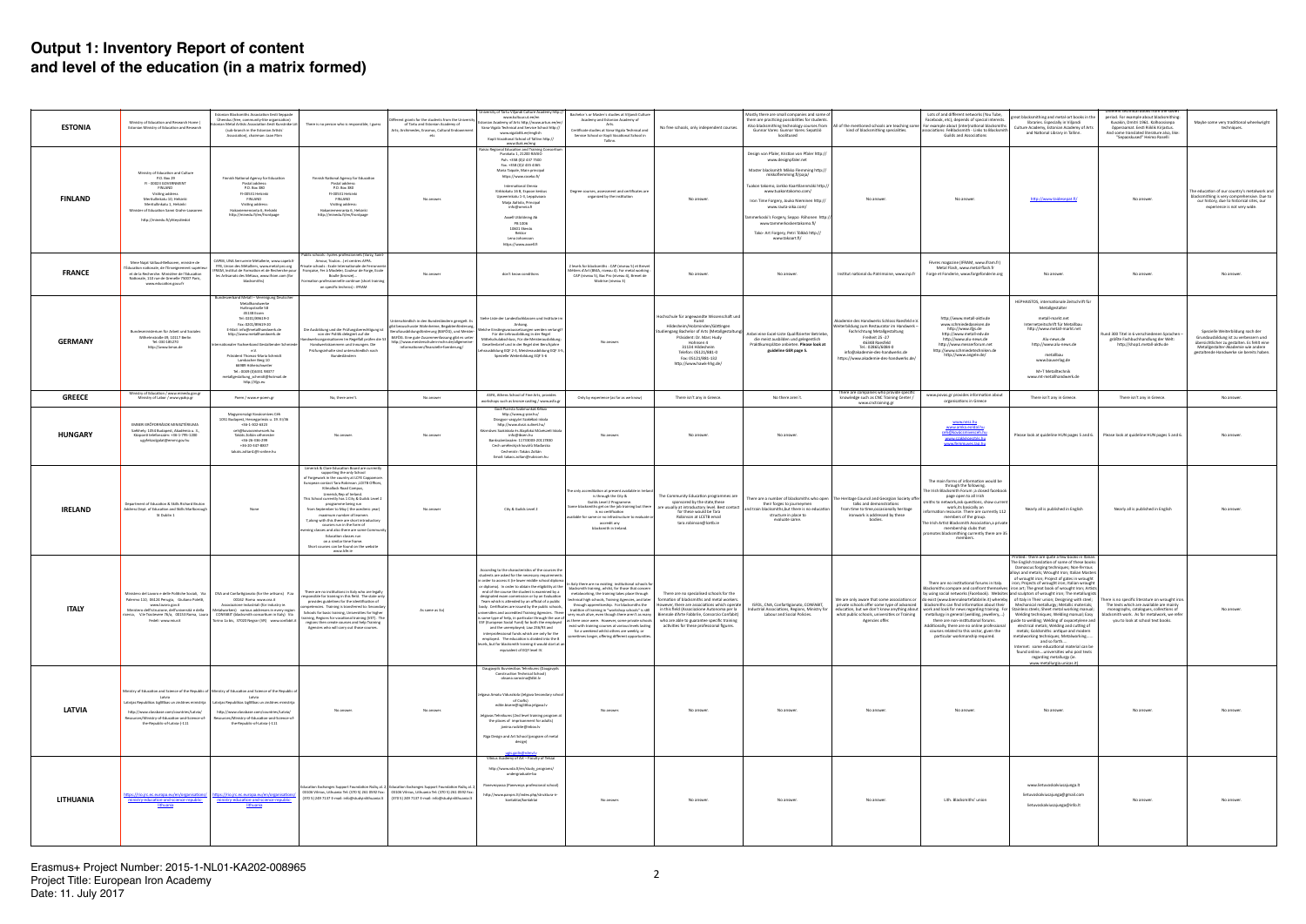|                  |                                                                                                                                                                                                                                                             |                                                                                                                                                                                                                                                                                                                                                                                                                                               |                                                                                                                                                                                                                                                                                                                                                                                                                                                                                                                                                                                                                                                |                                                                                                                                                                                                                                                                                                                             | University of Tartu Viljandi Culture Academy http://                                                                                                                                                                                                                                                                                                                                                                                                                                                                                                                                                                                                                                                                                                                                    |                                                                                                                                                                                                                                                                                                                                                                                                                                                                                                                                                                                                                                                                       |                                                                                                                                                                                                                                                                                                                                           |                                                                                                                                                                                                                                                                                                                                                                                                                                     |                                                                                                                                                                                                                                                                  |                                                                                                                                                                                                                                                                                                                                                                                                                                       |                                                                                                                                                                                                                                                                                                                                                                                                                                                                                                                                                                                                                                                                                                                                                                                                                                                                                                                                                                                                                                                                                                                                                    | Different technical books from the soviet                                                                                                                                                                        |                                                                                                                                                                                                             |
|------------------|-------------------------------------------------------------------------------------------------------------------------------------------------------------------------------------------------------------------------------------------------------------|-----------------------------------------------------------------------------------------------------------------------------------------------------------------------------------------------------------------------------------------------------------------------------------------------------------------------------------------------------------------------------------------------------------------------------------------------|------------------------------------------------------------------------------------------------------------------------------------------------------------------------------------------------------------------------------------------------------------------------------------------------------------------------------------------------------------------------------------------------------------------------------------------------------------------------------------------------------------------------------------------------------------------------------------------------------------------------------------------------|-----------------------------------------------------------------------------------------------------------------------------------------------------------------------------------------------------------------------------------------------------------------------------------------------------------------------------|-----------------------------------------------------------------------------------------------------------------------------------------------------------------------------------------------------------------------------------------------------------------------------------------------------------------------------------------------------------------------------------------------------------------------------------------------------------------------------------------------------------------------------------------------------------------------------------------------------------------------------------------------------------------------------------------------------------------------------------------------------------------------------------------|-----------------------------------------------------------------------------------------------------------------------------------------------------------------------------------------------------------------------------------------------------------------------------------------------------------------------------------------------------------------------------------------------------------------------------------------------------------------------------------------------------------------------------------------------------------------------------------------------------------------------------------------------------------------------|-------------------------------------------------------------------------------------------------------------------------------------------------------------------------------------------------------------------------------------------------------------------------------------------------------------------------------------------|-------------------------------------------------------------------------------------------------------------------------------------------------------------------------------------------------------------------------------------------------------------------------------------------------------------------------------------------------------------------------------------------------------------------------------------|------------------------------------------------------------------------------------------------------------------------------------------------------------------------------------------------------------------------------------------------------------------|---------------------------------------------------------------------------------------------------------------------------------------------------------------------------------------------------------------------------------------------------------------------------------------------------------------------------------------------------------------------------------------------------------------------------------------|----------------------------------------------------------------------------------------------------------------------------------------------------------------------------------------------------------------------------------------------------------------------------------------------------------------------------------------------------------------------------------------------------------------------------------------------------------------------------------------------------------------------------------------------------------------------------------------------------------------------------------------------------------------------------------------------------------------------------------------------------------------------------------------------------------------------------------------------------------------------------------------------------------------------------------------------------------------------------------------------------------------------------------------------------------------------------------------------------------------------------------------------------|------------------------------------------------------------------------------------------------------------------------------------------------------------------------------------------------------------------|-------------------------------------------------------------------------------------------------------------------------------------------------------------------------------------------------------------|
| <b>ESTONIA</b>   | Ministry of Education and Research Home<br>Estonian Ministry of Education and Research                                                                                                                                                                      | Estonian Blacksmiths Association Eesti Seppade<br>Ühendus (free, community-like organisation)<br>an Metal Artists Association Eesti Kunstnike Lii<br>(sub-branch in the Estonian Artists'<br>Association), chairman: Jaan Pärn                                                                                                                                                                                                                | There is no person who is responsible, I guess                                                                                                                                                                                                                                                                                                                                                                                                                                                                                                                                                                                                 | fferent grants for the students from the University<br>of Tartu and Estonian Academy of<br>Arts; Archimedes, Erasmus, Cultural Endownmer<br>etc                                                                                                                                                                             | www.kultuur.ut.ee/en<br>onian Academy of Arts http://www.artun.ee/er<br>Vana-Vigala Technical and Service School http://<br>www.vigalattk.ee/english<br>Kopli Vocational School of Tallinn http://<br>www.tkak.ee/eng                                                                                                                                                                                                                                                                                                                                                                                                                                                                                                                                                                   | Bachelor's or Master's studies at Viljandi Culture<br>Academy and Estonian Academy of<br>Arts.<br>Certificate studies at Vana-Vigala Technical and<br>Service School or Kopli Vocational School in<br>Tallinn.                                                                                                                                                                                                                                                                                                                                                                                                                                                        | No free schools, only independent courses.                                                                                                                                                                                                                                                                                                | Mostly there are small companies and some of<br>them are practicing possibilities for students.<br>Also blacksmithing technology courses from<br>Gunnar Vares: Gunnar Vares: Sepatöö<br>koolitused                                                                                                                                                                                                                                  | kind of blacksmithing specialities.                                                                                                                                                                                                                              | Lots of and different networks (You Tube,<br>Facebook, etc), depends of special interests,<br>All of the mentioned schools are teaching some   For example about (inter)national blacksmiths<br>associations: FeBlacksmith - Links to Blacksmith<br><b>Guilds and Associations</b>                                                                                                                                                    | great blacksmithing and metal-art books in the<br>libraries. Especially in Viljandi<br>Culture Academy, Estonian Academy of Arts<br>and National Library in Tallinn.                                                                                                                                                                                                                                                                                                                                                                                                                                                                                                                                                                                                                                                                                                                                                                                                                                                                                                                                                                               | period. For example about blacksmithing:<br>Kuvakin, Dmitri 1961, Kolhoosisepa<br>õpperaamat. Eesti Riiklik Kirjastus.<br>And some translated literature also, like:<br>"Sepaoskused" Heimo Roselli              | Maybe some very traditional wheelwright<br>techniques.                                                                                                                                                      |
| <b>FINLAND</b>   | Ministry of Education and Culture<br>P.O. Box 29<br>FI - 00023 GOVERNMENT<br><b>FINLAND</b><br>Visiting address<br>Meritullinkatu 10. Helsinki<br>Meritullinkatu 1, Helsinki<br>Minister of Education Sanni Grahn-Laasonen<br>http://minedu.fi/yhteystiedot | Finnish National Agency for Education<br>Postal address<br>P.O. Box 380<br>FI-00531 Helsinki<br><b>FINLAND</b><br>Visiting address:<br>Hakaniemenranta 6, Helsinki<br>http://minedu.fi/en/frontpage                                                                                                                                                                                                                                           | Finnish National Agency for Education<br>Postal address:<br>P.O. Box 380<br>FI-00531 Helsinki<br><b>FINLAND</b><br>Visiting address:<br>Hakaniemenranta 6, Helsinki<br>http://minedu.fi/en/frontpage<br>Public schools : lycées professionnels (Varzy, Saint                                                                                                                                                                                                                                                                                                                                                                                   | No answer                                                                                                                                                                                                                                                                                                                   | Raisio Regional Education and Training Consortiu<br>Purokatu 1, 21200 RAISIO<br>Puh. +358 (0)2 437 7500<br>Fax. +358 (0)2 435 4365<br>Maria Taipale, Main principal<br>https://www.raseko.fi/<br>International Omnia<br>Kirkkokatu 16 B, Espoon keskus<br>Upseerinkatu 1-3, Leppävaara<br>Maila Aaltola, Principal<br>info@omnia.fi<br>Axxell Utbildning Ab<br>PB 1006<br>10601 Ekenäs<br>Rektor<br>Lena Johansson<br>https://www.axxell.fi                                                                                                                                                                                                                                                                                                                                             | Degree courses, assessment and certificates are<br>organized by the institution                                                                                                                                                                                                                                                                                                                                                                                                                                                                                                                                                                                       | No answer.                                                                                                                                                                                                                                                                                                                                | Design von Pfaler, Kristian von Pfaler http://<br>www.designpfaler.net<br>Master blacksmith Mikko Flemming http://<br>mikkoflemming.fi/paja/<br>Tuakon takomo, Jarkko Kaartilannmäki http:/<br>www.tuakontakomo.com/<br>Iron Time Forgery, Jouko Nieminen http://<br>www.rauta-aika.com/<br>ammerkoski's Forgery, Seppo Riihonen http:/<br>www.tammerkoskentakomo.fi/<br>Tako- Art Forgery, Petri Tölkkö http://<br>www.takoart.fi/ | No answer                                                                                                                                                                                                                                                        | No answer.                                                                                                                                                                                                                                                                                                                                                                                                                            | http://www.taidesepat.fi/                                                                                                                                                                                                                                                                                                                                                                                                                                                                                                                                                                                                                                                                                                                                                                                                                                                                                                                                                                                                                                                                                                                          | No answer                                                                                                                                                                                                        | The education of our country's metalwork and<br>blacksmithing is very comprehensive. Due to<br>our history, due to historical sites, our<br>experience is not very wide.                                    |
| <b>FRANCE</b>    | Mme Najat Vallaud-Belkacem, ministre de<br>Éducation nationale, de l'Enseignement supérieur<br>et de la Recherche. Ministère de l'Education<br>Nationale, 110 rue de Grenelle 75007 Paris,<br>www.education.gouv.fr                                         | CAPEB, UNA Serrurerie Métallerie, www.capeb.fr<br>FFB, Union des Métalliers, www.metal-pro.org<br>les Artisanats des Métaux, www.ifram.com (for<br>blacksmiths                                                                                                                                                                                                                                                                                | Amour, Toulon) et centres AFPA.<br>rivate schools : Ecole Internationale de Ferronneri<br>RAM, Institut de Formation et de Recherche pour   Française, Fer à Modeler, Couleur de Forge, Ecole<br>Boulle (bronze)<br>Formation professionnelle continue (short training<br>on specific technics) : IFRAM                                                                                                                                                                                                                                                                                                                                        | No answe                                                                                                                                                                                                                                                                                                                    | don't know conditions                                                                                                                                                                                                                                                                                                                                                                                                                                                                                                                                                                                                                                                                                                                                                                   | 2 levels for blacksmiths : CAP (niveau 5) et Brevet<br>étiers d'Art (BMA, niveau 4). For metal working :<br>CAP (niveau 5), Bac Pro (niveau 4), Brevet de<br>Maitrise (niveau 3)                                                                                                                                                                                                                                                                                                                                                                                                                                                                                      | No answe                                                                                                                                                                                                                                                                                                                                  | No answer                                                                                                                                                                                                                                                                                                                                                                                                                           | Institut national du Patrimoine, www.inp.fr                                                                                                                                                                                                                      | Fèvres magazine (IFRAM, www.ifram.fr)<br>Metal Flash, www.metal-flash.fr<br>Forge et Fonderie, www.forgefonderie.org                                                                                                                                                                                                                                                                                                                  | No answer                                                                                                                                                                                                                                                                                                                                                                                                                                                                                                                                                                                                                                                                                                                                                                                                                                                                                                                                                                                                                                                                                                                                          | No answer                                                                                                                                                                                                        |                                                                                                                                                                                                             |
| <b>GERMANY</b>   | Bundesministerium für Arbeit und Soziales<br>Wilhelmstraße 49, 10117 Berlin<br>Tel: 030 185270<br>http://www.bmas.de                                                                                                                                        | Bundesverband Metall - Vereinigung Deutscher<br>Metallhandwerk<br>Huttropstraße 58<br>45138 Essen<br>Tel: 0201/89619-0<br>Fax: 0201/89619-20<br>E-Mail: info@metallhandwerk.de<br>http://www.metallhandwerk.de<br>ternationaler Fachverband Gestaltender Schmiede<br>e.v.<br>Präsident Thomas-Maria Schmidt<br>Lambacher Berg 10<br>66989 Höhelschweiler<br>Tel.: 0049 (0)6331 98377<br>metallgestaltung_schmidt@hotmail.de<br>http://ifgs.eu | Die Ausbildung und die Prüfungsberechtigung ist<br>von der Politik delegiert auf die<br>dwerksorganisationen Im Regelfall prüfen die 53<br>Handwerkskammern und Innungen. Die<br>Prüfungsinhalte sind unterschiedlich nach<br>Bundesländern                                                                                                                                                                                                                                                                                                                                                                                                    | Interschiedlich in den Bundesländern geregelt. E<br>gibt bezuschusste Wohnheime, Begabtenförderung<br>Berufsausbildungsförderung (BAFÖG), und Meister-<br>BAFÖG. Eine gute Zusammenfassung gibt es unter<br>http://www.meisterschulen-mchn.de/allgemeine-<br>informationen/finanzielle-foerderung/                          | Siehe Liste der Landesfachklassen und Institute in<br>Anhang.<br>oraussetzungen werden verlangt<br>Für die Lehrausbildung in der Regel<br>Ittelschulabschluss, Für die Meisterausbildung<br>Gesellenbrief und in der Regel drei Berufsjahre<br>rausbildung EQF 2-3, Meisterausbildung EQF 3-5<br>Spezielle Weiterbildung EQF 5-6                                                                                                                                                                                                                                                                                                                                                                                                                                                        | No answer                                                                                                                                                                                                                                                                                                                                                                                                                                                                                                                                                                                                                                                             | Hochschule für angewandte Wissenschaft und<br>Kunst<br>Hildesheim/Holzminden/Göttingen<br>tudiengang Bachelor of Arts (Metallgestaltung)<br>Präsident: Dr. Marc Hudy<br>Hohnsen 4<br>31134 Hildesheim<br>Telefon: 05121/881-0<br>Fax: 05121/881-132<br>http://www.hawk-hhg.de/                                                            | Anbei eine Excel-Liste Qualifizierter Betriebe<br>die meist ausbilden und gelegentlich<br>Praktikumsplätze anbieten. Please look at<br>guideline GER page 5.                                                                                                                                                                                                                                                                        | Akademie des Handwerks Schloss Raesfeld e.V.<br>terbildung zum Restaurator im Handwerk-<br>Fachrichtung Metallgestaltung<br>Freiheit 25 - 27<br>46348 Raesfeld<br>Tel.: 02865/6084-0<br>info@akademie-des-handwerks.de<br>https://www.akademie-des-handwerks.de/ | http://www.metall-aktiv.de<br>www.schmiededaseisen.de<br>http://www.ifgs.de<br>http://www.metall-edv.de<br>http://www.alu-news.de<br>http://www.messerforum.net<br>http://www.schmiedetechniken.de<br>http://www.angele.de/                                                                                                                                                                                                           | HEPHAISTOS, internationale Zeitschrift für<br>Metallgestalter<br>metall-markt.net<br>Internetzeitschrift für Metallbau<br>http://www.metall-markt.net<br>Alu-news.de<br>http://www.alu-news.de<br>metallbau<br>www.bauverlag.de<br>M+T Metalltechnik<br>www.mt-metallhandwerk.de                                                                                                                                                                                                                                                                                                                                                                                                                                                                                                                                                                                                                                                                                                                                                                                                                                                                   | und 300 Titel in 6 verschiedenen Sprachen<br>größte Fachbuchhandlung der Welt:<br>http://shop1.metall-aktiv.de                                                                                                   | Spezielle Weiterbildung nach der<br>Grundausbildung ist zu verbessern und<br>übersichtlicher zu gestalten. Es fehlt eine<br>Metallgestalter-Akademie wie andere<br>gestaltende Handwerke sie bereits haben. |
| <b>GREECE</b>    | Ministry of Education / www.minedu.gov.gr<br>Ministry of Labor / www.ypakp.gr                                                                                                                                                                               | Poem / www.e-poem.gr                                                                                                                                                                                                                                                                                                                                                                                                                          | No, there aren't.                                                                                                                                                                                                                                                                                                                                                                                                                                                                                                                                                                                                                              | No answer                                                                                                                                                                                                                                                                                                                   | ASFA, Athens School of Fine Arts, provides<br>workshops such as bronze casting / www.asfa.gr                                                                                                                                                                                                                                                                                                                                                                                                                                                                                                                                                                                                                                                                                            | Only by experience (as far as we know)                                                                                                                                                                                                                                                                                                                                                                                                                                                                                                                                                                                                                                | There isn't any in Greece.                                                                                                                                                                                                                                                                                                                | No there aren't.                                                                                                                                                                                                                                                                                                                                                                                                                    | There are companies who provide specific<br>knowledge such as CNC Training Center /                                                                                                                                                                              | www.povas.gr provides information about<br>organisations in Greece                                                                                                                                                                                                                                                                                                                                                                    | There isn't any in Greece.                                                                                                                                                                                                                                                                                                                                                                                                                                                                                                                                                                                                                                                                                                                                                                                                                                                                                                                                                                                                                                                                                                                         | There isn't any in Greece.                                                                                                                                                                                       | No answer.                                                                                                                                                                                                  |
| <b>HUNGARY</b>   | EMBERI ERŐFORRÁSOK MINISZTÉRIUMA<br>Székhely: 1054 Budapest, Akadémia u. 3.,<br>Központi telefonszám: +36-1-795-1200<br>ugyfelszolgalat@emmi.gov.hu                                                                                                         | Magyarországi Kovácsmíves Céh<br>1051 Budapest, Hercegprímás u. 19. III/36<br>$+36-1-302-6323$<br>ceh@kovacsmivesceh.hu<br>Takáts Zoltán céhmester<br>+36-26-336-299<br>+36-20-347-8837<br>takats.zoltan1@t-online.hu                                                                                                                                                                                                                         | No answer                                                                                                                                                                                                                                                                                                                                                                                                                                                                                                                                                                                                                                      | No answe                                                                                                                                                                                                                                                                                                                    | Godi Piarista Szakmunkáš Kébzo<br>http://www.g-piar.hu/<br>Diosgyor vasgyári Szakébzó iskola<br>http://www.dvszi.sulinet.hu/<br>Gézműves Szakiskola és Alapfokú Művészeti Iskola<br>info@ibsen.hu<br>Bankszámlaszám: 11733003-20117830<br>Cech uměleckých kovářů Maďarska<br>Cechmistr: Takács Zoltán<br>Email: takacs.zoltan@rubicom.hu                                                                                                                                                                                                                                                                                                                                                                                                                                                | No answer                                                                                                                                                                                                                                                                                                                                                                                                                                                                                                                                                                                                                                                             | No answe                                                                                                                                                                                                                                                                                                                                  | No answer                                                                                                                                                                                                                                                                                                                                                                                                                           | www.cnctraining.gr                                                                                                                                                                                                                                               | www.nesz.hu<br>www.amka.eoldal.hu<br>eh@kovácsmivesceh.h<br>www.szakképesítés.h                                                                                                                                                                                                                                                                                                                                                       | Please look at quideline HUN pages 5 and 6.                                                                                                                                                                                                                                                                                                                                                                                                                                                                                                                                                                                                                                                                                                                                                                                                                                                                                                                                                                                                                                                                                                        | Please look at quideline HUN pages 5 and 6.                                                                                                                                                                      | No answe                                                                                                                                                                                                    |
| IRELAND          | Department of Education & Skills Richard Bruton<br>Address Dept. of Education and Skills Marlborough<br>St Dublin 1                                                                                                                                         | None                                                                                                                                                                                                                                                                                                                                                                                                                                          | Limerick & Clare Education Board are currently<br>supporting the only School<br>of Forgework in the country at LCFE Cappamore<br>European contact Tara Robinson , LCETB Offices,<br>Kilmallock Road Campus,<br>Limerick, Rep of Ireland<br>This School currently has 1 City & Guilds Level 2<br>programme being run<br>from September to May (the acedimic year)<br>maximum number of learners<br>7, along with this there are short introductory<br>courses run in the form of<br>ning classes and also there are some Commu<br>Education classes run<br>on a similar time frame.<br>Short courses can be found on the website<br>www.lcfe.ie | No answer                                                                                                                                                                                                                                                                                                                   | City & Guilds Level 2                                                                                                                                                                                                                                                                                                                                                                                                                                                                                                                                                                                                                                                                                                                                                                   | The only accreditation at present available in Irela<br>is through the City &<br>Guilds Level 2 Programme<br>Some blacksmiths get on the job training but there<br>is no certification<br>vailable for same or no infrastructure to evaluate<br>accredit any<br>blacksmith in Ireland                                                                                                                                                                                                                                                                                                                                                                                 | The Community Education programmes are<br>sponsored by the state, these<br>are usually at introductory level. Best contact<br>for these would be Tara<br>Robinson at LCETB email<br>tara.robinson@lcetb.ie                                                                                                                                | their forges to journeymer<br>and train blacksmiths, but there is no education<br>structure in place to<br>evaluate same.                                                                                                                                                                                                                                                                                                           | There are a number of blacksmiths who open   The Heritage Council and Georgian Society offer<br>talks and demonstrations<br>from time to time, occasionally heritage<br>ironwork is addressed by these<br>bodies                                                 | The main forms of information would be<br>through the following.<br>The Irish Blacksmith Forum ;a closed facebook<br>page open to all Irish<br>miths to network,ask questions, show current<br>work, its basically an<br>formation resource. There are currently 112<br>members of the group.<br>he Irish Artist Blacksmith Association,a private<br>membership clubs that<br>omotes blacksmithing currently there are 35<br>members. | Nearly all is published in English                                                                                                                                                                                                                                                                                                                                                                                                                                                                                                                                                                                                                                                                                                                                                                                                                                                                                                                                                                                                                                                                                                                 | Nearly all is published in English                                                                                                                                                                               | No answer                                                                                                                                                                                                   |
| <b>ITALY</b>     | .10, 06124 Perugia, Giuliano i<br>www.lavoro.gov.it<br>Ministero dell'istruzione, dell'università e della<br>ricerca, V.le Trastevere 76/a, 00153 Roma, Laura<br>Fedeli www.miur.it                                                                         | Ministero del Lavoro e delle Politiche Sociali. Via CNA and Confartigianato (for the artisans) P.za<br>JU162 KOMa www.cna.il<br>Associazione Industriali (for industry ie.<br>Metalworkers) various addresses in every region<br>CONFABIT (blacksmith consortium in Italy) Via<br>Torino 1a bis, 37020 Negrar (VR) www.confabit.it                                                                                                            | There are no institutions in Italy who are legally<br>responsible for training in this field. The state only<br>provides guidelines for the identification of<br>petencies. Training is transferred to: Secondary<br>Schools for basic training, Universities for higher<br>training, Regions for vocational training (VET). The<br>regions then create courses and help Training<br>Agencies who will carry out those courses.                                                                                                                                                                                                                | As same as 3al                                                                                                                                                                                                                                                                                                              | According to the characteristics of the courses th<br>students are asked for the necessary requirement<br>n order to access it (ie lower middle school diploma<br>end of the course the student is examined by a<br>designated exam commission or by an Evaluation<br>Team which is attended by an official of a public<br>body. Certificates are issued by the public schools,<br>iversities and accredited Training Agencies. There<br>is some type of help, in particular through the use of<br>ESF (European Social Fund) for both the employed<br>and the unemployed; Law 236/93 and<br>interprofessional funds which are only for the<br>employed. The education is divided into the 8<br>levels, but for blacksmith training it would start at an<br>equivalent of EQF level IV. | of the contract of the eligibility at the light of the state of the consumer contract of the concern and the digibility at the light backsmith training, whilst, for those that concern<br>metalworking, the training takes place through<br>nical high schools, Training Agencies, and later<br>through apprenticeship. For blacksmiths the<br>tradition of training in "workshop schools" is still<br>as there once were. However, some private schools   who are able to guarantee specific training<br>exist with training courses at various levels lasting<br>for a weekend whilst others are weekly, or<br>sometimes longer, offering different opportunities. | There are no specialised schools for the<br>formation of blacksmiths and metal workers<br>However, there are associations which operate<br>in this field (Associazione Autonoma per la<br>very much alive, even though there aren't as many   Biennale d'Arte Fabbrile, Consorzio Confabit)<br>activities for these professional figures. | ISFOL, CNA, Confartigianato, CONFABIT,<br>Industrial Associations, Regions, Ministry for<br>Labour and Social Policies.                                                                                                                                                                                                                                                                                                             | ve are only aware that some associations<br>what public schools, universities or Training<br>Agencies offer.                                                                                                                                                     | There are no institutional forums in Italy.<br>aleartefabbrile.it) whereby<br>private schools offer some type of advanced   blacksmiths can find information about their<br>metallurgy in general (welding, jewellery,)<br>there are non-institutional forums.<br>Additionally, there are no online professional<br>courses related to this sector, given the<br>particular workmanship required.                                     | Printed: there are quite a few books in Italian<br>The English translation of some of these books:<br>Damascus: forging techniques; Non-ferrous<br>lloys and metals; Wrought Iron; Italian Master<br>of wrought iron; Project of gates in wrought<br>iron; Projects of wrought iron; Italian wrought<br>Blacksmiths compare and confront themselves iron art; The great book of wrought Iron; Artists<br>by using social networks (Facebook). Websites and sculptors of wrought iron; The metallurgists<br>of Italy in Their union; Designing with stee<br>Mechanical metallurgy; Metallic materials;<br>education, but we don't know anything about work and look for news regarding training. For Stainless steels; Sheet metal working manual;<br>Welding techniques; Welding manual; Easy<br>guide to welding; Welding of oxyacetylene and<br>electrical metals; Welding and cutting of<br>metals; Goldsmiths: antique and modern<br>metalworking techniques; Metalworking<br>and so forth<br>Internet: some educational material can be<br>found onlineuniversities who post texts<br>regarding metallurgy (ie.<br>www.metallurgia.unicas.it) | s is no specific literature on wrought<br>The texts which are available are mainly<br>monographs, catalogues, collections of<br>blacksmith work. As for metalwork, we refer<br>you to look at school text books. | No answer                                                                                                                                                                                                   |
| <b>LATVIA</b>    | Latvia<br>Latvijas Republikas Izglītības un zinātnes ministrija  <br>http://www.classbase.com/countries/Latvia/<br>Resources/Ministry-of-Education-and-Science-of-<br>the-Republic-of-Latvia-(-111                                                          | Ministry of Education and Science of the Republic of Ministry of Education and Science of the Republic of<br>Latvia<br>Latvijas Republikas Izglītības un zinātnes ministrij<br>http://www.classbase.com/countries/Latvia/<br>lesources/Ministry-of-Education-and-Science-of<br>the-Republic-of-Latvia-(-111                                                                                                                                   | No answer                                                                                                                                                                                                                                                                                                                                                                                                                                                                                                                                                                                                                                      | No answer.                                                                                                                                                                                                                                                                                                                  | Daugavpils Buvniecibas Tehnikums (Daugavpils<br>Construction Technical School)<br>oksana.sorocina@dbt.lv<br>Jelgava Amatu Vidusskola (Jelgava Secondary schoo<br>of Crafts)<br>edite.bisere@izglitiba.jelgava.lv<br>lelgavas Tehnikums (2nd level training program a<br>the places of imprisonment for adults)<br>janina.rudzite@inbox.lv<br>Riga Design and Art School (program of metal<br>design)<br>Vilnius Academy of Art - Faculty of Telsiai                                                                                                                                                                                                                                                                                                                                     | No answer.                                                                                                                                                                                                                                                                                                                                                                                                                                                                                                                                                                                                                                                            | No answer.                                                                                                                                                                                                                                                                                                                                | No answer.                                                                                                                                                                                                                                                                                                                                                                                                                          | No answer.                                                                                                                                                                                                                                                       | No answer.                                                                                                                                                                                                                                                                                                                                                                                                                            | No answer.                                                                                                                                                                                                                                                                                                                                                                                                                                                                                                                                                                                                                                                                                                                                                                                                                                                                                                                                                                                                                                                                                                                                         | No answer.                                                                                                                                                                                                       | No answer                                                                                                                                                                                                   |
| <b>LITHUANIA</b> | https://rio.jrc.ec.europa.eu/en/organisations/<br>ministry-education-and-science-republic-<br>lithuania                                                                                                                                                     | https://rio.jrc.ec.europa.eu/en/organisations/<br>ministry-education-and-science-republic-<br><b>lithuania</b>                                                                                                                                                                                                                                                                                                                                |                                                                                                                                                                                                                                                                                                                                                                                                                                                                                                                                                                                                                                                | ,Education Exchanges Support Foundation Rožių al. 2, Education Exchanges Support Foundation Rožių al. 2<br>03106 Vilnius, Lithuania Tel: (370 5) 261 0592 Fax: 03106 Vilnius, Lithuania Tel: (370 5) 261 0592 Fax:<br>(370 5) 249 7137 E-mail: info@studyinlithuania.lt   (370 5) 249 7137 E-mail: info@studyinlithuania.lt | http://www.vda.lt/en/study_programs/<br>undergraduate-ba<br>Panevezyassa (Panevezys professional school)<br>http://www.panprc.lt/index.php/struktura-ir-<br>kontaktai/kontaktai                                                                                                                                                                                                                                                                                                                                                                                                                                                                                                                                                                                                         | No answer                                                                                                                                                                                                                                                                                                                                                                                                                                                                                                                                                                                                                                                             | No answer                                                                                                                                                                                                                                                                                                                                 | No answer.                                                                                                                                                                                                                                                                                                                                                                                                                          | No answer                                                                                                                                                                                                                                                        | Lith. Blacksmiths' union                                                                                                                                                                                                                                                                                                                                                                                                              | www.lietuvoskalviusajunga.lt<br>lietuvoskalviusajunga@gmail.com<br>lietuvoskalviusajunga@info.lt                                                                                                                                                                                                                                                                                                                                                                                                                                                                                                                                                                                                                                                                                                                                                                                                                                                                                                                                                                                                                                                   | No answer.                                                                                                                                                                                                       |                                                                                                                                                                                                             |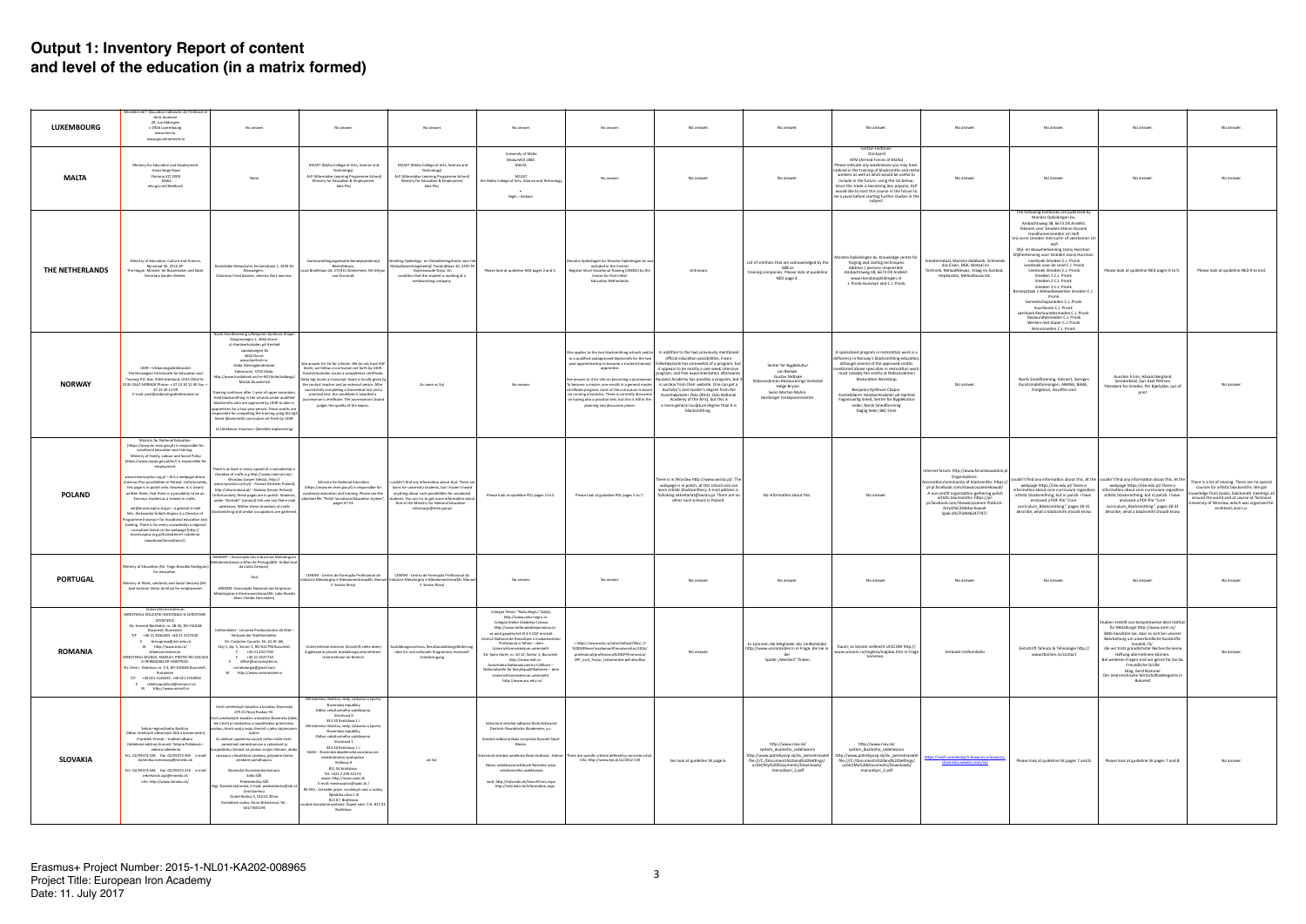| <b>LUXEMBOURG</b> | Ministère de l'Éducation nationale, de l'Enfance et<br>de la Jeunesse<br>29, rue Aldringen<br>L-2926 Luxembourg<br>www.men.lu<br>www.gouvernement.lu                                                                                                                                                                                                                                                                                                                                                                                                                                                                                                                                                                                                                                                                                          | No answer.                                                                                                                                                                                                                                                                                                                                                                                                                                                                                                                                                                                                                                                                               | No answer                                                                                                                                                                                                                                                                                                                                                                                                                                                                                                                                                                                                                                                                    | No answer.                                                                                                                                                                                                                                                                                   | No answer.                                                                                                                                                                                                                                                                                                                                                                                                                                                                                                                                            | No answer                                                                                                                                                                                                                                                                                                                             | No answer.                                                                                                                                                                                                                                                                                                                                                                                                                                                                                                                                                                                                                                                                                               | No answer.                                                                                                                                                                                        | No answer.                                                                                                                                                                                                                                                                                                                                                                                                                                    | No answer.                                                                                                                                                                                                                                                                                                                                 | No answer.                                                                                                                                                                                                                                                                                                                                                                                                                                                                                                                                                                                                                                                                                                                              | No answer                                                                                                                                                                                                                                                                                                                                                                                                                             | No answer                                                                                                                                                                                                                                                         |
|-------------------|-----------------------------------------------------------------------------------------------------------------------------------------------------------------------------------------------------------------------------------------------------------------------------------------------------------------------------------------------------------------------------------------------------------------------------------------------------------------------------------------------------------------------------------------------------------------------------------------------------------------------------------------------------------------------------------------------------------------------------------------------------------------------------------------------------------------------------------------------|------------------------------------------------------------------------------------------------------------------------------------------------------------------------------------------------------------------------------------------------------------------------------------------------------------------------------------------------------------------------------------------------------------------------------------------------------------------------------------------------------------------------------------------------------------------------------------------------------------------------------------------------------------------------------------------|------------------------------------------------------------------------------------------------------------------------------------------------------------------------------------------------------------------------------------------------------------------------------------------------------------------------------------------------------------------------------------------------------------------------------------------------------------------------------------------------------------------------------------------------------------------------------------------------------------------------------------------------------------------------------|----------------------------------------------------------------------------------------------------------------------------------------------------------------------------------------------------------------------------------------------------------------------------------------------|-------------------------------------------------------------------------------------------------------------------------------------------------------------------------------------------------------------------------------------------------------------------------------------------------------------------------------------------------------------------------------------------------------------------------------------------------------------------------------------------------------------------------------------------------------|---------------------------------------------------------------------------------------------------------------------------------------------------------------------------------------------------------------------------------------------------------------------------------------------------------------------------------------|----------------------------------------------------------------------------------------------------------------------------------------------------------------------------------------------------------------------------------------------------------------------------------------------------------------------------------------------------------------------------------------------------------------------------------------------------------------------------------------------------------------------------------------------------------------------------------------------------------------------------------------------------------------------------------------------------------|---------------------------------------------------------------------------------------------------------------------------------------------------------------------------------------------------|-----------------------------------------------------------------------------------------------------------------------------------------------------------------------------------------------------------------------------------------------------------------------------------------------------------------------------------------------------------------------------------------------------------------------------------------------|--------------------------------------------------------------------------------------------------------------------------------------------------------------------------------------------------------------------------------------------------------------------------------------------------------------------------------------------|-----------------------------------------------------------------------------------------------------------------------------------------------------------------------------------------------------------------------------------------------------------------------------------------------------------------------------------------------------------------------------------------------------------------------------------------------------------------------------------------------------------------------------------------------------------------------------------------------------------------------------------------------------------------------------------------------------------------------------------------|---------------------------------------------------------------------------------------------------------------------------------------------------------------------------------------------------------------------------------------------------------------------------------------------------------------------------------------------------------------------------------------------------------------------------------------|-------------------------------------------------------------------------------------------------------------------------------------------------------------------------------------------------------------------------------------------------------------------|
| <b>MALTA</b>      | Ministry for Education and Employment<br>Great Siege Road<br>Floriana VLT 2000<br>Malta<br>edu.gov.mt/feedback                                                                                                                                                                                                                                                                                                                                                                                                                                                                                                                                                                                                                                                                                                                                | None                                                                                                                                                                                                                                                                                                                                                                                                                                                                                                                                                                                                                                                                                     | MCAST (Malta College of Arts, Science and<br>Technology)<br>ALP (Alternative Learning Programme School)<br>Ministry for Education & Employment<br>Jobs Plus                                                                                                                                                                                                                                                                                                                                                                                                                                                                                                                  | MCAST (Malta College of Arts, Science and<br>Technology)<br>ALP (Alternative Learning Programme School)<br>Ministry for Education & Employment<br>Jobs Plus                                                                                                                                  | University of Malta<br>Msida MSD 2080<br>MALTA<br>MCAST<br>the Malta College of Arts, Science and Technology<br>Bighi - Kalkara                                                                                                                                                                                                                                                                                                                                                                                                                       | No answer                                                                                                                                                                                                                                                                                                                             | No answer.                                                                                                                                                                                                                                                                                                                                                                                                                                                                                                                                                                                                                                                                                               | No answer.                                                                                                                                                                                        | <b>Certain Factories</b><br>Dockyard<br>AFM (Armed Forces of Malta)<br>Please indicate any weaknesses you may have<br>noticed in the training of blacksmiths and metal<br>workers as well as what would be useful to<br>include in the future, using the list below:<br>Since this trade is becoming less popular, ALP<br>would like to start this course in the future to<br>be a pivot before starting further studies in the<br>subject.   | No answer.                                                                                                                                                                                                                                                                                                                                 | No answer.                                                                                                                                                                                                                                                                                                                                                                                                                                                                                                                                                                                                                                                                                                                              | No answer.                                                                                                                                                                                                                                                                                                                                                                                                                            | No answer                                                                                                                                                                                                                                                         |
| THE NETHERLANDS   | Ministry of Education, Culture and Science,<br>Rijnstraat 50, 2515 XP<br>The Hague, Minister Jet Bussemaker and State<br>Secretary Sander Dekker                                                                                                                                                                                                                                                                                                                                                                                                                                                                                                                                                                                                                                                                                              | Koninklijke Metaalunie, Einsteinbaan 1, 3439 NJ<br>Nieuwegein.<br>Chairman Fried Kaanen, director Bert Jaarsma.                                                                                                                                                                                                                                                                                                                                                                                                                                                                                                                                                                          | Samenwerkingorganisatie Beroepsonderwijs<br>Bedrijfsleven,<br>ouis Braillelaan 24, 2719 EJ Zoetermeer, Ms Mirian<br>van Ormondt.                                                                                                                                                                                                                                                                                                                                                                                                                                                                                                                                             | Stichting Opleidings- en Ontwikkelingsfonds voor het<br>Metaalbewerkingsbedrijf, Frankrijklaan 10, 2391 PX<br>Hazerswoude-Dorp, On<br>condition that the student is working at a<br>metalworking company                                                                                     | Please look at quideline NED pages 2 and 3.                                                                                                                                                                                                                                                                                                                                                                                                                                                                                                           | Mondra Opleidingen bv. Mondra Opleidingen bv was<br>included in the Central<br>Register Short Vocational Training (CRKBO) by the<br>Centre for Post Initial<br>Education Netherlands.                                                                                                                                                 | Unknown.                                                                                                                                                                                                                                                                                                                                                                                                                                                                                                                                                                                                                                                                                                 | List of smithies that are acknowledged by the<br>SBB as<br>training companies. Please look at quideline<br>NED page 4.                                                                            | Mondra Opleidingen bv. Knowledge centre for<br>forging and casting techniques.<br>Address / persons responsible<br>Ambachtsweg 38, 6673 DK Andelst.<br>www.mondraopleidingen.nl<br>J. Pronk-Huisman and C.J. Pronk                                                                                                                                                                                                                            | Smedentotaal, Mondra databank, Schmiede<br>das Eisen, NGK, Metaal en<br>Techniek, MetaalNieuws, Vraag en Aanbod,<br>Hephaistos, Metaalbouw etc.                                                                                                                                                                                            | The following textbooks are published by<br>Mondra Opleidingen bv,<br>Ambachtsweg 38, 6673 DK Andelst.<br>Tekenen voor Smeden Meino Durand<br>Handhamersmeden Uri Hofi<br>Vrij-vorm smeden met lucht- of veerhamer U<br>Hofi<br>Stijl- en Bouwherkenning Janny Huisman<br>Stijlherkenning voor Smeden Janny Huisman<br>Leerboek Smeden C.J. Pronk<br>Leerboek voor de smid C.J. Pronk<br>Leerboek Smeden C.J. Pronk<br>Smeden 1 C.J. Pronk<br>Smeden 2 C.J. Pronk<br>Smeden 3 C.J. Pronk<br>Beroepstaak 1 Metaalbewerken Smeden C.J<br>Pronk<br>Gereedschapsmeden C.J. Pronk<br>Vuurlassen C.J. Pronk<br>Leerboek Restauratiesmeden C.J. Pronk<br>Restauratiesmeden C.J. Pronk<br>Werken met Koper C.J. Pronk<br>Bronssmeden C.J. Pronk | Please look at quideline NED pages 6 to 9.                                                                                                                                                                                                                                                                                                                                                                                            | Please look at quideline NED 9 to end.                                                                                                                                                                                                                            |
| <b>NORWAY</b>     | UDIR-Utdanningsdirektoratet<br>The Norwegian Directorate for Education and<br>Training P.O. Box, 9359 Grønland, 0135 OSLO N -<br>0135 OSLO NORWAY Phone: + 47 23 30 12 00 Fax: +<br>47 23 30 12 99<br>E-mail: post@utdanningsdirektoratet.no                                                                                                                                                                                                                                                                                                                                                                                                                                                                                                                                                                                                  | Norsk Smedforening v/Benjamin Kjellman-Chapi<br>Stasjonsvegen 1, 2662 Dovre<br>a) Handverksskolen på Hjerleid<br>Jøndalsvegen 3b<br>2662 Dovre<br>www.hjerleid.no<br>Odda Videregåendeskole<br>Eidesmoen, 5750 Odda<br>ttp://www.hordaland.no/nn-NO/skole/oddavgs/<br>Michal Wunderlich<br>Fraining continues after 1 year of upper secondary<br>level blacksmithing in the schools under qualified<br>blacksmiths who are approved by UDIR to take in<br>apprentices for a two year period. Those smiths are<br>esponsible for competing the training using the Vg3<br>Smed (blacksmith) curriculum set forth by UDIR.<br>b) Lânekasse, Erasmus+ (læretida utplassering)                | See answer for 3A for schools. We do not have EQF<br>levels, we follow a curriculum set forth by UDIR.<br>Handverksskolen issues a competence certificate,<br>Odda Ves issues a transcript. Exam is locally given by<br>the contact teacher and an external sensor. After<br>successfully completing a theoretical test and a<br>practical test, the candidate is awarded a<br>urneyman's certificate. The journeyman's board<br>judges the quality of the exams.                                                                                                                                                                                                            | As same as 3a)                                                                                                                                                                                                                                                                               | No answer.                                                                                                                                                                                                                                                                                                                                                                                                                                                                                                                                            | to a qualified and approved blacksmith for the two<br>year apprenticeship to become a student/trainee/<br>apprentice.<br>ertificate program, most of the curriculum is based<br>on running a business. There is currently discussion  <br>on having also a practical test, but this is still in the<br>planning and discussion phase. | One applies to the two blacksmithing schools and/or   In addition to the two previously mentioned<br>official education possibilities, Fosen<br>kehøyskole has somewhat of a program, but<br>it appears to be mostly a one week intensive<br>rogram, and free experimentation afterwards.<br>See answer to 4 for info on becoming a journeyman   Rauland Academy has possibly a program, but it<br>To become a master, one enrolls in a general master $\vert$ is unclear from their website. One can get a<br>bachelor's and master's degree from the<br>Kunsthøyskole i Oslo (KHiO, Oslo National<br>Academy of the Arts), but this is<br>a more general sculpture degree than it is<br>blacksmithing. | Senter for Bygdekultur<br>Jan Remøe<br>Gustav Slettsøe<br>Vidarosdomen Restaurerings Verksted<br><b>Helge Brynie</b><br>Svein Morten Myhre<br>Hardanger Fartøysvernsenter                         | A specialized program in restoration work is a<br>deficiency in Norway's blacksmithing education,<br>although several of the approved smiths<br>entioned above specialize in restoration work,<br>most notably the smiths at Nidarosdomen<br>Restoration Workshop<br>Benjamin Kjellman-Chapin<br>Kontaktlærer Handverksskolen på Hierleid<br>Fagansvarlig Smed, Senter for Bygdekultur<br>Leder, Norsk Smedforening<br>Daglig leder, BKC Smie | No answer.                                                                                                                                                                                                                                                                                                                                 | Norsk Smedforening, Antracit, Sveriges<br>Kunstsmideforeningen, ABANA, BABA,<br>iForgeIron, Anvilfire.com                                                                                                                                                                                                                                                                                                                                                                                                                                                                                                                                                                                                                               | Kunsten å Smi, Håvard Bergland<br>Smedarbeid, Sjur Axel Pehrson<br>Yrkeslære for Smeder, Per Bjørlykke, out of<br>print                                                                                                                                                                                                                                                                                                               | No answe                                                                                                                                                                                                                                                          |
| <b>POLAND</b>     | Ministry for National Education<br>(https://www.en.men.gov.pl) is responsible for<br>vocational education and training.<br>Ministry of Family, Labour and Social Policy<br>(https://www.mpips.gov.pl/en/) is responsible for<br>employment.<br>www.erasmusplus.org.pl - this a webpage about<br>Erasmus Plus possibilities in Poland. Unfortunately,<br>this page is in polish only. However, it is clearly<br>written there, that there is a possibility to be an<br>Erasmus student as a trainee in crafts.<br>vet@erasmusplus.org.pl - a general e-mail<br>Mrs. Aleksandra Ścibich-Kopiec is a Director of<br>rogramme Erasmus+ for Vocational education and<br>training. There is for every voivodeship a regional<br>consultant listed on the webpage (http://<br>erasmusplus.org.pl/ksztalcenie-i-szkolenia-<br>zawodowe/konsultanci/). | There is at least in every capital of a voivodeship<br>chamber of crafts e.g http://www.rzem-art.eu/<br>Wroclaw (Lower Silesia), http://<br>www.irpoznan.com.pl/ - Poznań (Greater Poland<br>http://izba.krakow.pl/ - Kraków (Lesser Poland).<br>Unfortunately, these pages are in polish. However,<br>under "Kontakt" (contact) link one can find e-mail<br>addresses. Within these chambers of crafts<br>smithing and similar occupations are gathered                                                                                                                                                                                                                                 | Ministry for National Education<br>(https://www.en.men.gov.pl) is responsible for<br>vocational education and training. Please see the<br>attached file "Polish Vocational Education System",<br>pages 47-53.                                                                                                                                                                                                                                                                                                                                                                                                                                                                | ouldn't find any information about that. There are<br>loans for university students, but I haven't heard<br>anything about such possibilities for vocational<br>udents. You can try to get some information about<br>that at the Ministry for National Education -<br>informacja@men.gov.pl. | Please look at quideline POL pages 3 to 5.                                                                                                                                                                                                                                                                                                                                                                                                                                                                                                            | Please look at guideline POL pages 5 to 7.                                                                                                                                                                                                                                                                                            | here is in Wroclaw http://www.swraiz.pl/. The<br>webpage is in polish, at this school one can<br>learn artistic blacksmithery. E-mail address is<br>following sekretariat@swraiz.pl. There are no<br>other such schools in Poland.                                                                                                                                                                                                                                                                                                                                                                                                                                                                       | No information about this.                                                                                                                                                                        | No answer.                                                                                                                                                                                                                                                                                                                                                                                                                                    | Internet forum: http://www.forumkowalskie.pl<br>Organizations:<br>sociation/community of blacksmiths: https://<br>pl-pl.facebook.com/stowarzyszeniekowali/<br>A non-profit organization gathering polish<br>artistic blacksmiths: https://pl-<br>pl.facebook.com/Stowarzyszenie-Polskich<br>Artyst%C3%B3w-Kowali-<br>Spak-205750946247797/ | webpage https://cke.edu.pl/ there is<br>information about core curriculum regardless<br>artistic blacksmithing, but in polish. I have<br>enclosed a PDF-file "Core<br>curriculum_Blacksmithing", pages 28-31<br>describe, what a blacksmith should know.                                                                                                                                                                                                                                                                                                                                                                                                                                                                                | couldn't find any information about this. At the couldn't find any information about this. At the<br>webpage https://cke.edu.pl/ there is<br>information about core curriculum regardless<br>artistic blacksmithing, but in polish. I have<br>enclosed a PDF-file "Core<br>curriculum_Blacksmithing", pages 28-31<br>describe, what a blacksmith should know.                                                                         | There is a lot of missing. There are no special<br>courses for artistic blacksmiths. We got<br>owledge from books, blacksmith meetings all<br>around the world and at course at Technical<br>iiversity of Wroclaw, which was organized for<br>architects and s.o. |
| <b>PORTUGAL</b>   | Ministry of Education (Mr. Tiago Brandão Rodrigues)<br>for education.<br>Ministry of Work, solidarity and Social Security (Mr<br>José António Vieira da Silva) for employment.                                                                                                                                                                                                                                                                                                                                                                                                                                                                                                                                                                                                                                                                | AIMMAP - Associação dos Industriais Metalúrgicos<br>talomecânicos e Afins de Portugal(Mr. Aníbal José<br>da Costa Campos)<br>And<br>ANEMM - Associação Nacional das Empresas<br>Metalúrgicas e Electromecânicas(Mr. João Romão<br>Alves Chedas Fernandes)                                                                                                                                                                                                                                                                                                                                                                                                                                | CENFIM - Centro de Formação Profissional da<br>F. Santos Rosa)                                                                                                                                                                                                                                                                                                                                                                                                                                                                                                                                                                                                               | CENFIM - Centro de Formação Profissional da<br>ústria Metalúrgica e Metalomecânica(Mr. Manuel  Indústria Metalúrgica e Metalomecânica(Mr. Manuel<br>F. Santos Rosa)                                                                                                                          | No answer.                                                                                                                                                                                                                                                                                                                                                                                                                                                                                                                                            | No answer.                                                                                                                                                                                                                                                                                                                            | No answer                                                                                                                                                                                                                                                                                                                                                                                                                                                                                                                                                                                                                                                                                                | No answer                                                                                                                                                                                         | No answer                                                                                                                                                                                                                                                                                                                                                                                                                                     | No answer.                                                                                                                                                                                                                                                                                                                                 | No answer.                                                                                                                                                                                                                                                                                                                                                                                                                                                                                                                                                                                                                                                                                                                              | No answer.                                                                                                                                                                                                                                                                                                                                                                                                                            | No answe                                                                                                                                                                                                                                                          |
| <b>ROMANIA</b>    | Unterrichtsministeriun<br>MINISTERUL EDUCATIEI NATIONALE SI CERCETARII<br><b>STIINTIFICE</b><br>Str. General Berthelot, nr. 28-30, RO-010168<br>Bucuresti, Rumänien<br>T/F +40 21 4056200, +40 21 3157430<br>E biroupresa@min.edu.ro<br>W http://www.edu.ro/<br>Arbeitsministerium<br><b>MINISTERUL MUNCII, FAMILIEI, PROTECTIEI SOCIALE</b><br>SI PERSOANELOR VARSTNICE<br>Str. Dem I. Dobrescu nr. 2-4, RO-010026 Bucuresti,<br>Rumänier<br>T/F +40 021 3136267, +40 021 3158556<br>E relatiicupublicul@mmuncii.ro<br>W http://www.mmssf.ro                                                                                                                                                                                                                                                                                                 | UniRomSider - Uniunea Producatorilor de Otel -<br>Verband der Stahlhersteller<br>Str. Costache Conachi, Nr. 10, Bl. 6B,<br>Etaj 1, Ap. 5, Sector 2, RO-021796 Bucuresti,<br>T +40 21 2527700<br>F +40 21 2527710<br>E office@uniromsider.ro<br>csmetalurgia@gmail.com<br>W http://www.uniromsider.ro                                                                                                                                                                                                                                                                                                                                                                                     | Unterrichtsministerium (Anschrift siehe oben)<br>Zugelassene private Ausbildungsunternehmen<br>Unternehmen im Bereich                                                                                                                                                                                                                                                                                                                                                                                                                                                                                                                                                        | usbildungszuschuss, Berufsausbildungsförderung<br>über EU und nationale Programme, eventuell<br>Unterbringung                                                                                                                                                                                | Colegiul Tehnic "Radu Negru" Galați,<br>http://www.radu-negru.ro<br>Colegiul Stefan Odobleia Craiova<br>http://www.stefanodoblejacraiova.ro<br>es wird gewöhnlich N 3-5 EQF erreicht.<br>Centrul National de Dezvoltare a Invatamantulu<br>Profesional si Tehnic - dem<br>Unterrichtsministerium unterstellt<br>Str. Spiru Haret, nr. 10-12, Sector 1, București<br>http://www.tvet.ro<br>Autoritatea Nationala pentru Calificari -<br>Vationalstelle für Berufsqualifikationen - dem<br>Unterrichtsministerium unterstellt<br>http://www.anc.edu.ro/ | r https://www.edu.ro/sites/default/files/_fi<br>%C8%99iere/InvatamantPreuniversitar/2016/<br>profesional/professional%20SPP/mecanica/<br>SPP_niv3_Forjor_tratamentist.pdf abrufbar                                                                                                                                                    | No answer.                                                                                                                                                                                                                                                                                                                                                                                                                                                                                                                                                                                                                                                                                               | Es kommen die Mitglieder der UniRomSider<br>http://www.uniromsider.ro in Frage, die Sie in<br>der<br>Spalte "Membrii" finden.                                                                     | Kaum; es könnte vielleicht UCECOM http://<br>www.ucecom.ro/engleza/engleza.htm in Frage<br>kommen.                                                                                                                                                                                                                                                                                                                                            | Verband UniRomSider                                                                                                                                                                                                                                                                                                                        | Zeitschrift Tehnica & Tehnologie http://<br>www.ttonline.ro/contact                                                                                                                                                                                                                                                                                                                                                                                                                                                                                                                                                                                                                                                                     | Studien erstellt von beispielsweise dem Institut<br>für Metallurgie http://www.icem.ro/<br>Bitte beachten Sie, dass es sich bei unserer<br>Bearbeitung um unverbindliche Auskünfte<br>handelt. für<br>die wir trotz gründlichster Recherche keine<br>Haftung übernehmen können.<br>Bei weiteren Fragen sind wir gerne für Sie da<br>Freundliche Grüße<br>Mag. Gerd Bommer<br>Der österreichische Wirtschaftsdelegierte in<br>Bukarest | No answer                                                                                                                                                                                                                                                         |
| <b>SLOVAKIA</b>   | Sekcia regionálneho školstva<br>Odbor stredných odborných škôl a konzervatórií,<br>František Priesol - riaditeľ odboru<br>Oddelenie edičnej činnosti. Tatiana Poliaková -<br>vedúca oddelenia<br>Tel.: 02/59374 428  Fax: 02/59374 309  e-mail:<br>dominika.ocenasova@minedu.sk<br>Tel.: 02/59374 444  Fax: 02/59374 214  e-mail:<br>sekretariat.opz@minedu.sk<br>info: http://www.minedu.sk/                                                                                                                                                                                                                                                                                                                                                                                                                                                 | Cech umeleckých kováčov a kováčov Slovenska<br>075 01 Nový Ruskov 55<br>Sech umeleckých kováčov a kováčov Slovenska (ďale<br>len Cech) je nezávislou a nepolitickou právnickou<br>obou, ktorá vyvíja svoju činnosť v jeho záujmovom<br>Za účelom naplnenia svojich cieľov môže Cech<br>zamestnať zamestnancov a vykonávať ai<br>odársku činnosť na pomoc svojim členom, aleb<br>súvisiacu s kováčskou výrobou, prípadne týmto<br>výrobám pomáhajúcu.<br>Slovenská živnostenská komora<br>Sídlo SŽK:<br>Predsedníčka SŽK<br>Mgr. Daniela Jaslovská, e-mail: predsednicka@szk.sk<br>Úrad komory<br>Dolné Rudiny 3, 010 01 Žilina<br>Kontaktná osoba: Anna Sklenárová, Tel.:<br>041/7645195 | Ministerstvo školstva, vedy, výskumu a športu<br>Slovenskei republiky<br>Odbor celoživotného vzdelávania<br>Stromová 9<br>813 30 Bratislava 1 /<br>Ministerstvo školstva, vedy, výskumu a športu<br>Slovenskei republiky<br>Odbor celoživotného vzdelávania<br>Stromová 1<br>813 30 Bratislava 1 /<br>SAAIC - Slovenská akademická asociácia pre<br>medzinárodnú spoluprácu<br>Križkova 9<br>811 04 Bratislava<br>Tel: +421 2 209 222 01<br>www: http://www.saaic.sk<br>E-mail: erasmusplus@saaic.sk /<br>RE-PAS - Ústredie práce, sociálnych vecí a rodiny<br>Špitálska ulica č. 8<br>812 67. Bratislava<br>osobné doručenie podania: Župné nám. 5-6, 811 03,<br>Bratislava | ad 3a)                                                                                                                                                                                                                                                                                       | Súkromná stredná odborná škola Kežmarok<br>Deutsch-Slowakische Akademien, a.s.<br>Stredná odborná škola strojnícka Kysucké Nové<br>Mesto<br>úkromná stredná umelecká škola Hodruša - Hámre<br>Názov vzdelávacej inštitúcie Národný ústav<br>celoživotného vzdelávania<br>web: http://isdv.iedu.sk/SearchForm.aspx<br>http://isdv.iedu.sk/Information.aspx                                                                                                                                                                                             | here are specific criteria defined by concrete schol:<br>info: http://www.epi.sk/zz/2012-133                                                                                                                                                                                                                                          | Yes look at quideline SK page 6.                                                                                                                                                                                                                                                                                                                                                                                                                                                                                                                                                                                                                                                                         | http://www.rsov.sk/<br>system dualneho vzdelavania<br>http://www.potrebyovp.sk/dv_zamestnavatel<br>file:///C:/Documents%20and%20Settings/<br>ucitel/My%20Documents/Downloads/<br>manualspri_2.pdf | http://www.rsov.sk/<br>system dualneho vzdelavania<br>http://www.potrebyovp.sk/dv_zamestnavatel<br>file:///C:/Documents%20and%20Settings/<br>ucitel/My%20Documents/Downloads/<br>manualspri_2.pdf                                                                                                                                                                                                                                             | tps://cech-umeleckych-kovacov-a-kovacov<br>slovenska.wexbo.com/sk/                                                                                                                                                                                                                                                                         | Please look at quideline SK pages 7 and 8.                                                                                                                                                                                                                                                                                                                                                                                                                                                                                                                                                                                                                                                                                              | Please look at guideline SK pages 7 and 8.                                                                                                                                                                                                                                                                                                                                                                                            | No answer                                                                                                                                                                                                                                                         |